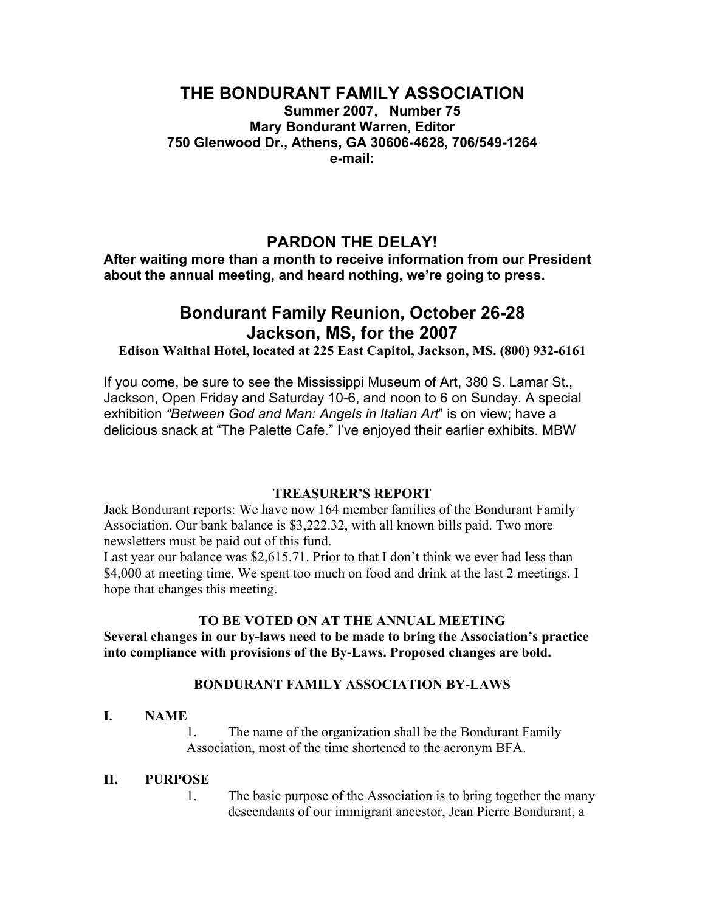## **THE BONDURANT FAMILY ASSOCIATION**

**Summer 2007, Number 75 Mary Bondurant Warren, Editor 750 Glenwood Dr., Athens, GA 30606-4628, 706/549-1264 e-mail:**

## **PARDON THE DELAY!**

**After waiting more than a month to receive information from our President about the annual meeting, and heard nothing, we're going to press.**

# **Bondurant Family Reunion, October 26-28 Jackson, MS, for the 2007**

**Edison Walthal Hotel, located at 225 East Capitol, Jackson, MS. (800) 932-6161**

If you come, be sure to see the Mississippi Museum of Art, 380 S. Lamar St., Jackson, Open Friday and Saturday 10-6, and noon to 6 on Sunday. A special exhibition *"Between God and Man: Angels in Italian Art*" is on view; have a delicious snack at "The Palette Cafe." I've enjoyed their earlier exhibits. MBW

#### **TREASURER'S REPORT**

Jack Bondurant reports: We have now 164 member families of the Bondurant Family Association. Our bank balance is \$3,222.32, with all known bills paid. Two more newsletters must be paid out of this fund.

Last year our balance was \$2,615.71. Prior to that I don't think we ever had less than \$4,000 at meeting time. We spent too much on food and drink at the last 2 meetings. I hope that changes this meeting.

#### **TO BE VOTED ON AT THE ANNUAL MEETING**

**Several changes in our by-laws need to be made to bring the Association's practice into compliance with provisions of the By-Laws. Proposed changes are bold.**

#### **BONDURANT FAMILY ASSOCIATION BY-LAWS**

#### **I. NAME**

1. The name of the organization shall be the Bondurant Family Association, most of the time shortened to the acronym BFA.

#### **II. PURPOSE**

1. The basic purpose of the Association is to bring together the many descendants of our immigrant ancestor, Jean Pierre Bondurant, a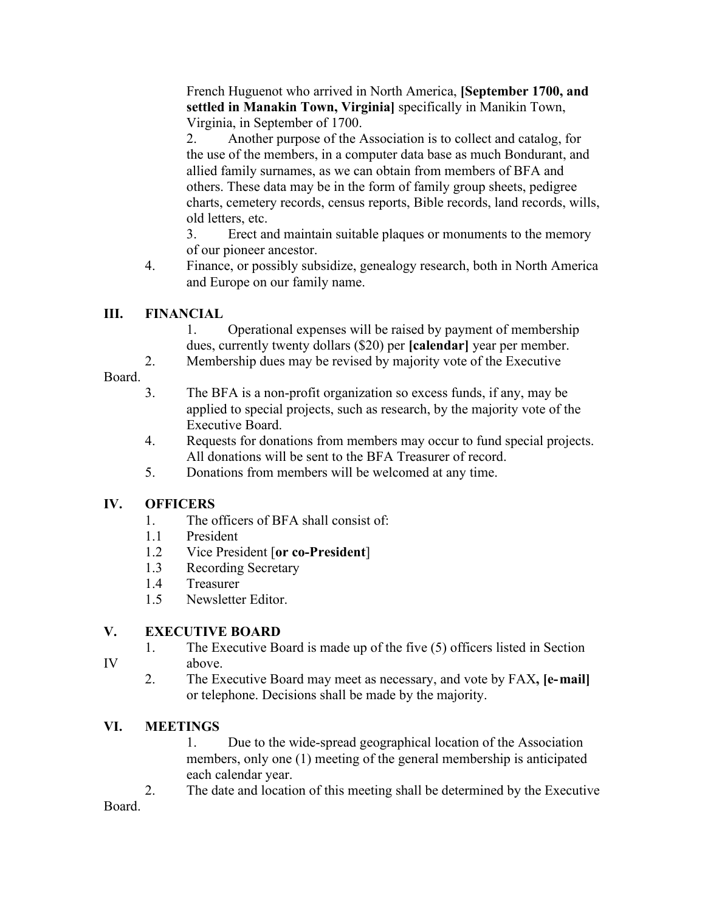French Huguenot who arrived in North America, **[September 1700, and settled in Manakin Town, Virginia]** specifically in Manikin Town, Virginia, in September of 1700.

2. Another purpose of the Association is to collect and catalog, for the use of the members, in a computer data base as much Bondurant, and allied family surnames, as we can obtain from members of BFA and others. These data may be in the form of family group sheets, pedigree charts, cemetery records, census reports, Bible records, land records, wills, old letters, etc.

3. Erect and maintain suitable plaques or monuments to the memory of our pioneer ancestor.

4. Finance, or possibly subsidize, genealogy research, both in North America and Europe on our family name.

## **III. FINANCIAL**

1. Operational expenses will be raised by payment of membership dues, currently twenty dollars (\$20) per **[calendar]** year per member.

2. Membership dues may be revised by majority vote of the Executive

## Board.

- 3. The BFA is a non-profit organization so excess funds, if any, may be applied to special projects, such as research, by the majority vote of the Executive Board.
- 4. Requests for donations from members may occur to fund special projects. All donations will be sent to the BFA Treasurer of record.
- 5. Donations from members will be welcomed at any time.

## **IV. OFFICERS**

- 1. The officers of BFA shall consist of:
- 1.1 President
- 1.2 Vice President [**or co-President**]
- 1.3 Recording Secretary
- 1.4 Treasurer
- 1.5 Newsletter Editor.

## **V. EXECUTIVE BOARD**

- 1. The Executive Board is made up of the five (5) officers listed in Section IV above.
	- 2. The Executive Board may meet as necessary, and vote by FAX**, [e-mail]** or telephone. Decisions shall be made by the majority.

## **VI. MEETINGS**

1. Due to the wide-spread geographical location of the Association members, only one (1) meeting of the general membership is anticipated each calendar year.

2. The date and location of this meeting shall be determined by the Executive

Board.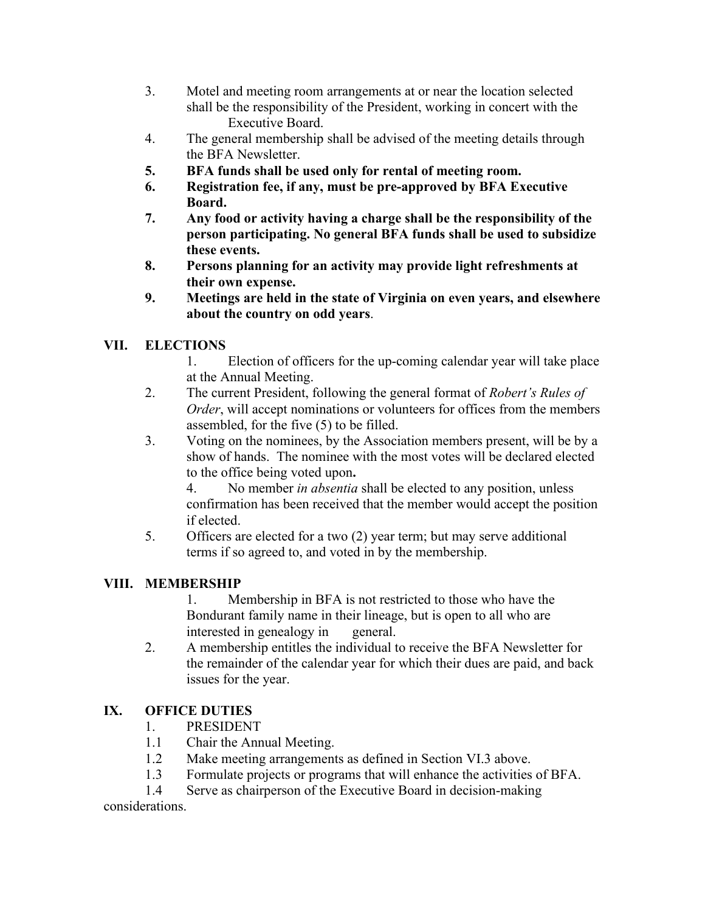- 3. Motel and meeting room arrangements at or near the location selected shall be the responsibility of the President, working in concert with the Executive Board.
- 4. The general membership shall be advised of the meeting details through the BFA Newsletter.
- **5. BFA funds shall be used only for rental of meeting room.**
- **6. Registration fee, if any, must be pre-approved by BFA Executive Board.**
- **7. Any food or activity having a charge shall be the responsibility of the person participating. No general BFA funds shall be used to subsidize these events.**
- **8. Persons planning for an activity may provide light refreshments at their own expense.**
- **9. Meetings are held in the state of Virginia on even years, and elsewhere about the country on odd years**.

## **VII. ELECTIONS**

- 1. Election of officers for the up-coming calendar year will take place at the Annual Meeting.
- 2. The current President, following the general format of *Robert's Rules of Order*, will accept nominations or volunteers for offices from the members assembled, for the five (5) to be filled.
- 3. Voting on the nominees, by the Association members present, will be by a show of hands. The nominee with the most votes will be declared elected to the office being voted upon**.**

4. No member *in absentia* shall be elected to any position, unless confirmation has been received that the member would accept the position if elected.

5. Officers are elected for a two (2) year term; but may serve additional terms if so agreed to, and voted in by the membership.

## **VIII. MEMBERSHIP**

1. Membership in BFA is not restricted to those who have the Bondurant family name in their lineage, but is open to all who are interested in genealogy in general.

2. A membership entitles the individual to receive the BFA Newsletter for the remainder of the calendar year for which their dues are paid, and back issues for the year.

## **IX. OFFICE DUTIES**

- 1. PRESIDENT
- 1.1 Chair the Annual Meeting.
- 1.2 Make meeting arrangements as defined in Section VI.3 above.
- 1.3 Formulate projects or programs that will enhance the activities of BFA.
- 1.4 Serve as chairperson of the Executive Board in decision-making

considerations.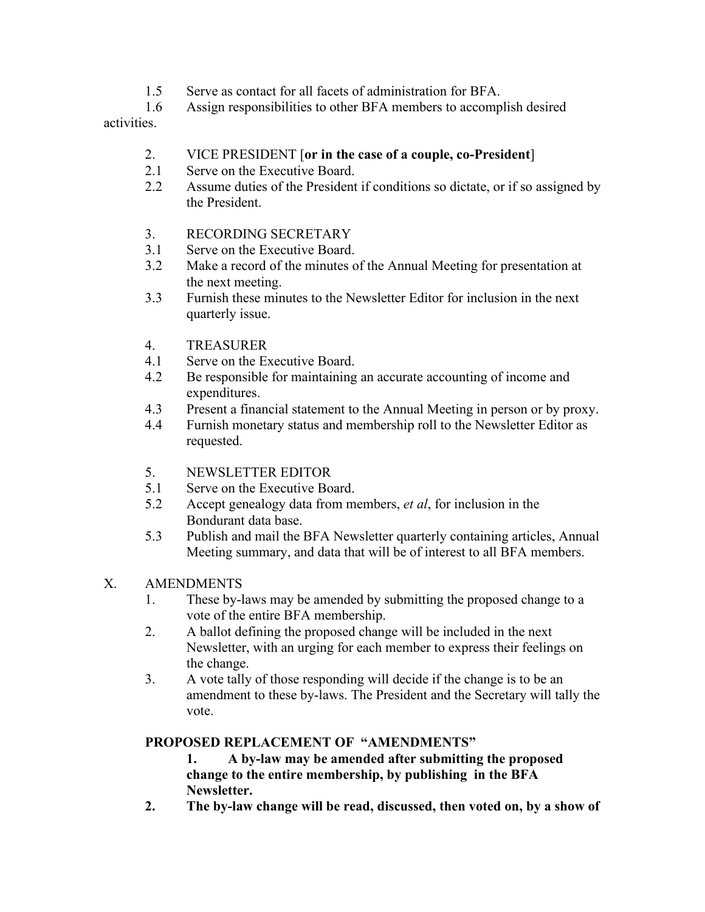- 1.5 Serve as contact for all facets of administration for BFA.
- 1.6 Assign responsibilities to other BFA members to accomplish desired

activities.

- 2. VICE PRESIDENT [**or in the case of a couple, co-President**]
- 2.1 Serve on the Executive Board.
- 2.2 Assume duties of the President if conditions so dictate, or if so assigned by the President.
- 3. RECORDING SECRETARY
- 3.1 Serve on the Executive Board.
- 3.2 Make a record of the minutes of the Annual Meeting for presentation at the next meeting.
- 3.3 Furnish these minutes to the Newsletter Editor for inclusion in the next quarterly issue.
- 4. TREASURER
- 4.1 Serve on the Executive Board.
- 4.2 Be responsible for maintaining an accurate accounting of income and expenditures.
- 4.3 Present a financial statement to the Annual Meeting in person or by proxy.
- 4.4 Furnish monetary status and membership roll to the Newsletter Editor as requested.
- 5. NEWSLETTER EDITOR
- 5.1 Serve on the Executive Board.
- 5.2 Accept genealogy data from members, *et al*, for inclusion in the Bondurant data base.
- 5.3 Publish and mail the BFA Newsletter quarterly containing articles, Annual Meeting summary, and data that will be of interest to all BFA members.

### X. AMENDMENTS

- 1. These by-laws may be amended by submitting the proposed change to a vote of the entire BFA membership.
- 2. A ballot defining the proposed change will be included in the next Newsletter, with an urging for each member to express their feelings on the change.
- 3. A vote tally of those responding will decide if the change is to be an amendment to these by-laws. The President and the Secretary will tally the vote.

## **PROPOSED REPLACEMENT OF "AMENDMENTS"**

**1. A by-law may be amended after submitting the proposed change to the entire membership, by publishing in the BFA Newsletter.**

**2. The by-law change will be read, discussed, then voted on, by a show of**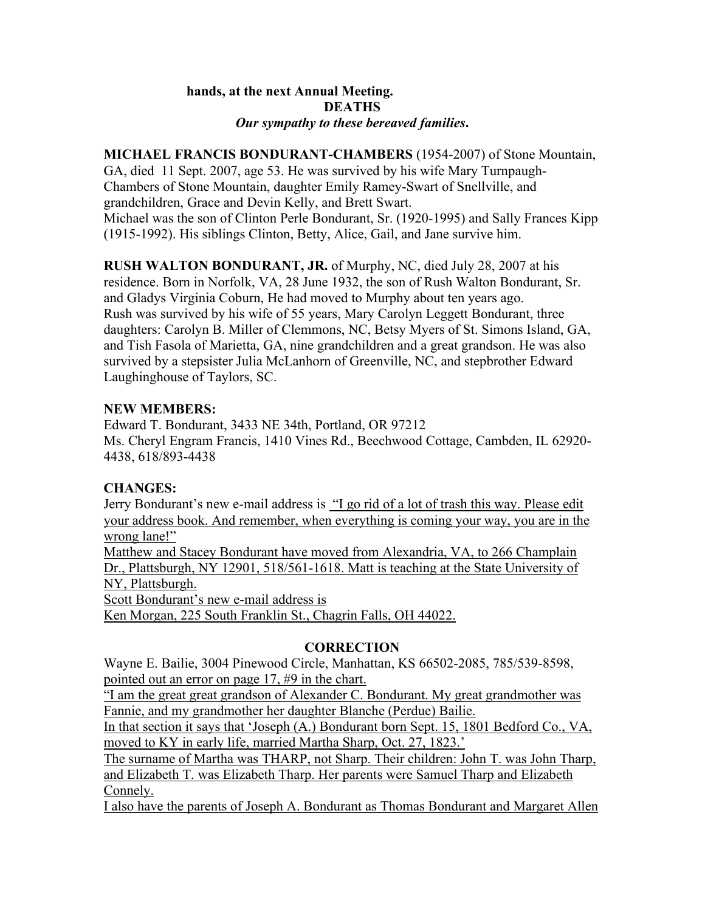#### **hands, at the next Annual Meeting. DEATHS** *Our sympathy to these bereaved families***.**

**MICHAEL FRANCIS BONDURANT-CHAMBERS** (1954-2007) of Stone Mountain, GA, died 11 Sept. 2007, age 53. He was survived by his wife Mary Turnpaugh-Chambers of Stone Mountain, daughter Emily Ramey-Swart of Snellville, and grandchildren, Grace and Devin Kelly, and Brett Swart. Michael was the son of Clinton Perle Bondurant, Sr. (1920-1995) and Sally Frances Kipp (1915-1992). His siblings Clinton, Betty, Alice, Gail, and Jane survive him.

**RUSH WALTON BONDURANT, JR.** of Murphy, NC, died July 28, 2007 at his residence. Born in Norfolk, VA, 28 June 1932, the son of Rush Walton Bondurant, Sr. and Gladys Virginia Coburn, He had moved to Murphy about ten years ago. Rush was survived by his wife of 55 years, Mary Carolyn Leggett Bondurant, three daughters: Carolyn B. Miller of Clemmons, NC, Betsy Myers of St. Simons Island, GA, and Tish Fasola of Marietta, GA, nine grandchildren and a great grandson. He was also survived by a stepsister Julia McLanhorn of Greenville, NC, and stepbrother Edward Laughinghouse of Taylors, SC.

### **NEW MEMBERS:**

Edward T. Bondurant, 3433 NE 34th, Portland, OR 97212 Ms. Cheryl Engram Francis, 1410 Vines Rd., Beechwood Cottage, Cambden, IL 62920- 4438, 618/893-4438

### **CHANGES:**

Jerry Bondurant's new e-mail address is "I go rid of a lot of trash this way. Please edit your address book. And remember, when everything is coming your way, you are in the wrong lane!"

Matthew and Stacey Bondurant have moved from Alexandria, VA, to 266 Champlain Dr., Plattsburgh, NY 12901, 518/561-1618. Matt is teaching at the State University of NY, Plattsburgh.

Scott Bondurant's new e-mail address is

Ken Morgan, 225 South Franklin St., Chagrin Falls, OH 44022.

### **CORRECTION**

Wayne E. Bailie, 3004 Pinewood Circle, Manhattan, KS 66502-2085, 785/539-8598, pointed out an error on page 17, #9 in the chart.

"I am the great great grandson of Alexander C. Bondurant. My great grandmother was Fannie, and my grandmother her daughter Blanche (Perdue) Bailie.

In that section it says that 'Joseph (A.) Bondurant born Sept. 15, 1801 Bedford Co., VA, moved to KY in early life, married Martha Sharp, Oct. 27, 1823.'

The surname of Martha was THARP, not Sharp. Their children: John T. was John Tharp, and Elizabeth T. was Elizabeth Tharp. Her parents were Samuel Tharp and Elizabeth Connely.

I also have the parents of Joseph A. Bondurant as Thomas Bondurant and Margaret Allen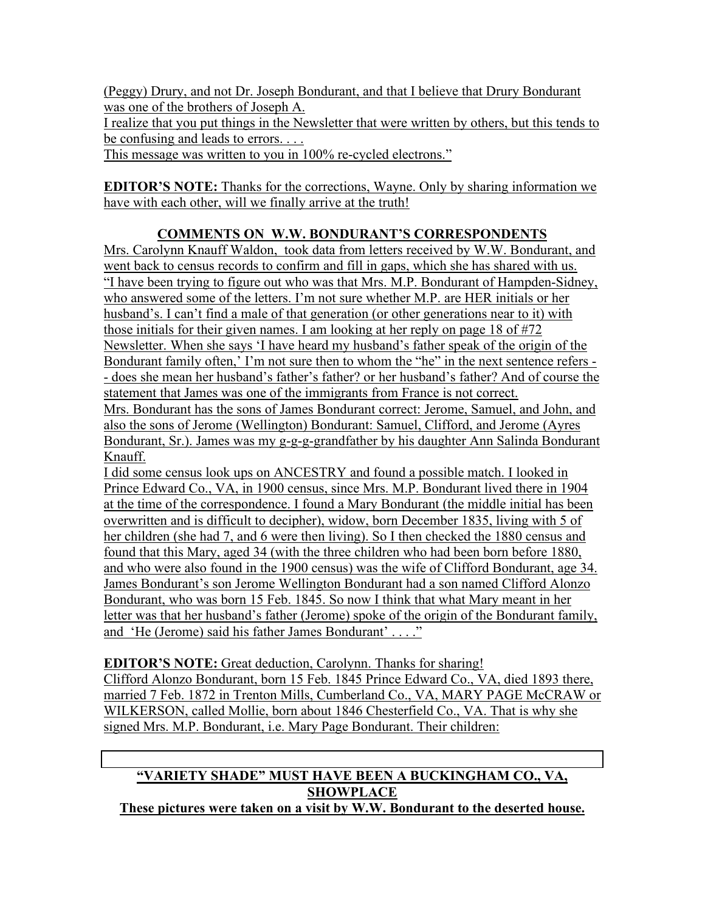(Peggy) Drury, and not Dr. Joseph Bondurant, and that I believe that Drury Bondurant was one of the brothers of Joseph A.

I realize that you put things in the Newsletter that were written by others, but this tends to be confusing and leads to errors....

This message was written to you in 100% re-cycled electrons."

**EDITOR'S NOTE:** Thanks for the corrections, Wayne. Only by sharing information we have with each other, will we finally arrive at the truth!

## **COMMENTS ON W.W. BONDURANT'S CORRESPONDENTS**

Mrs. Carolynn Knauff Waldon, took data from letters received by W.W. Bondurant, and went back to census records to confirm and fill in gaps, which she has shared with us. "I have been trying to figure out who was that Mrs. M.P. Bondurant of Hampden-Sidney, who answered some of the letters. I'm not sure whether M.P. are HER initials or her husband's. I can't find a male of that generation (or other generations near to it) with those initials for their given names. I am looking at her reply on page 18 of #72 Newsletter. When she says 'I have heard my husband's father speak of the origin of the Bondurant family often,' I'm not sure then to whom the "he" in the next sentence refers - - does she mean her husband's father's father? or her husband's father? And of course the statement that James was one of the immigrants from France is not correct.

Mrs. Bondurant has the sons of James Bondurant correct: Jerome, Samuel, and John, and also the sons of Jerome (Wellington) Bondurant: Samuel, Clifford, and Jerome (Ayres Bondurant, Sr.). James was my g-g-g-grandfather by his daughter Ann Salinda Bondurant Knauff.

I did some census look ups on ANCESTRY and found a possible match. I looked in Prince Edward Co., VA, in 1900 census, since Mrs. M.P. Bondurant lived there in 1904 at the time of the correspondence. I found a Mary Bondurant (the middle initial has been overwritten and is difficult to decipher), widow, born December 1835, living with 5 of her children (she had 7, and 6 were then living). So I then checked the 1880 census and found that this Mary, aged 34 (with the three children who had been born before 1880, and who were also found in the 1900 census) was the wife of Clifford Bondurant, age 34. James Bondurant's son Jerome Wellington Bondurant had a son named Clifford Alonzo Bondurant, who was born 15 Feb. 1845. So now I think that what Mary meant in her letter was that her husband's father (Jerome) spoke of the origin of the Bondurant family, and 'He (Jerome) said his father James Bondurant' . . . ."

**EDITOR'S NOTE:** Great deduction, Carolynn. Thanks for sharing! Clifford Alonzo Bondurant, born 15 Feb. 1845 Prince Edward Co., VA, died 1893 there, married 7 Feb. 1872 in Trenton Mills, Cumberland Co., VA, MARY PAGE McCRAW or WILKERSON, called Mollie, born about 1846 Chesterfield Co., VA. That is why she signed Mrs. M.P. Bondurant, i.e. Mary Page Bondurant. Their children:

#### **"VARIETY SHADE" MUST HAVE BEEN A BUCKINGHAM CO., VA, SHOWPLACE These pictures were taken on a visit by W.W. Bondurant to the deserted house.**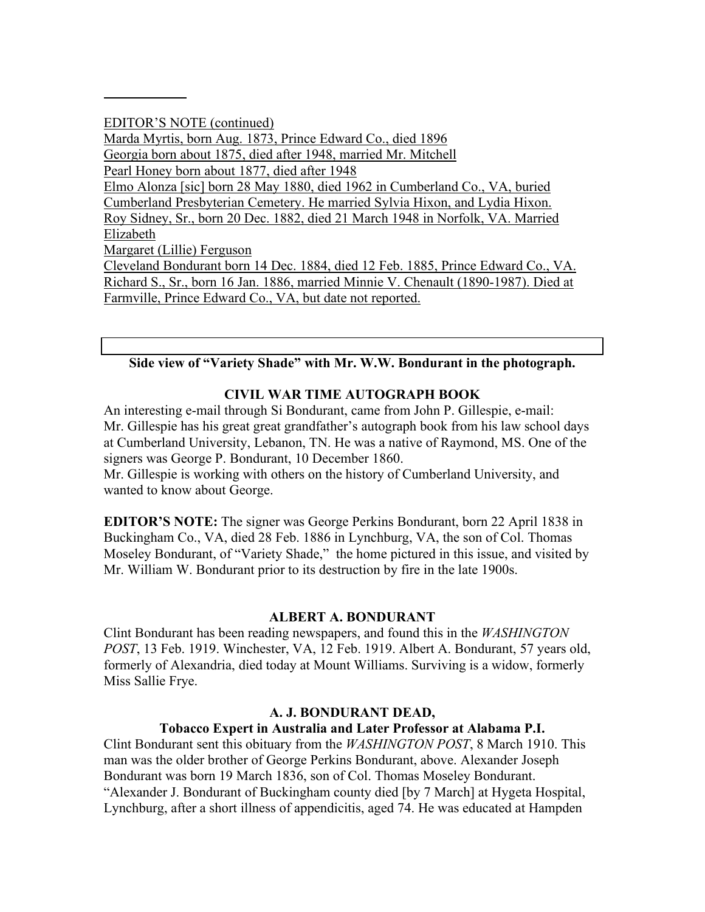EDITOR'S NOTE (continued) Marda Myrtis, born Aug. 1873, Prince Edward Co., died 1896 Georgia born about 1875, died after 1948, married Mr. Mitchell Pearl Honey born about 1877, died after 1948 Elmo Alonza [sic] born 28 May 1880, died 1962 in Cumberland Co., VA, buried Cumberland Presbyterian Cemetery. He married Sylvia Hixon, and Lydia Hixon. Roy Sidney, Sr., born 20 Dec. 1882, died 21 March 1948 in Norfolk, VA. Married Elizabeth Margaret (Lillie) Ferguson Cleveland Bondurant born 14 Dec. 1884, died 12 Feb. 1885, Prince Edward Co., VA. Richard S., Sr., born 16 Jan. 1886, married Minnie V. Chenault (1890-1987). Died at Farmville, Prince Edward Co., VA, but date not reported.

### **Side view of "Variety Shade" with Mr. W.W. Bondurant in the photograph.**

### **CIVIL WAR TIME AUTOGRAPH BOOK**

An interesting e-mail through Si Bondurant, came from John P. Gillespie, e-mail: Mr. Gillespie has his great great grandfather's autograph book from his law school days at Cumberland University, Lebanon, TN. He was a native of Raymond, MS. One of the signers was George P. Bondurant, 10 December 1860.

Mr. Gillespie is working with others on the history of Cumberland University, and wanted to know about George.

**EDITOR'S NOTE:** The signer was George Perkins Bondurant, born 22 April 1838 in Buckingham Co., VA, died 28 Feb. 1886 in Lynchburg, VA, the son of Col. Thomas Moseley Bondurant, of "Variety Shade," the home pictured in this issue, and visited by Mr. William W. Bondurant prior to its destruction by fire in the late 1900s.

#### **ALBERT A. BONDURANT**

Clint Bondurant has been reading newspapers, and found this in the *WASHINGTON POST*, 13 Feb. 1919. Winchester, VA, 12 Feb. 1919. Albert A. Bondurant, 57 years old, formerly of Alexandria, died today at Mount Williams. Surviving is a widow, formerly Miss Sallie Frye.

#### **A. J. BONDURANT DEAD,**

#### **Tobacco Expert in Australia and Later Professor at Alabama P.I.**

Clint Bondurant sent this obituary from the *WASHINGTON POST*, 8 March 1910. This man was the older brother of George Perkins Bondurant, above. Alexander Joseph Bondurant was born 19 March 1836, son of Col. Thomas Moseley Bondurant. "Alexander J. Bondurant of Buckingham county died [by 7 March] at Hygeta Hospital, Lynchburg, after a short illness of appendicitis, aged 74. He was educated at Hampden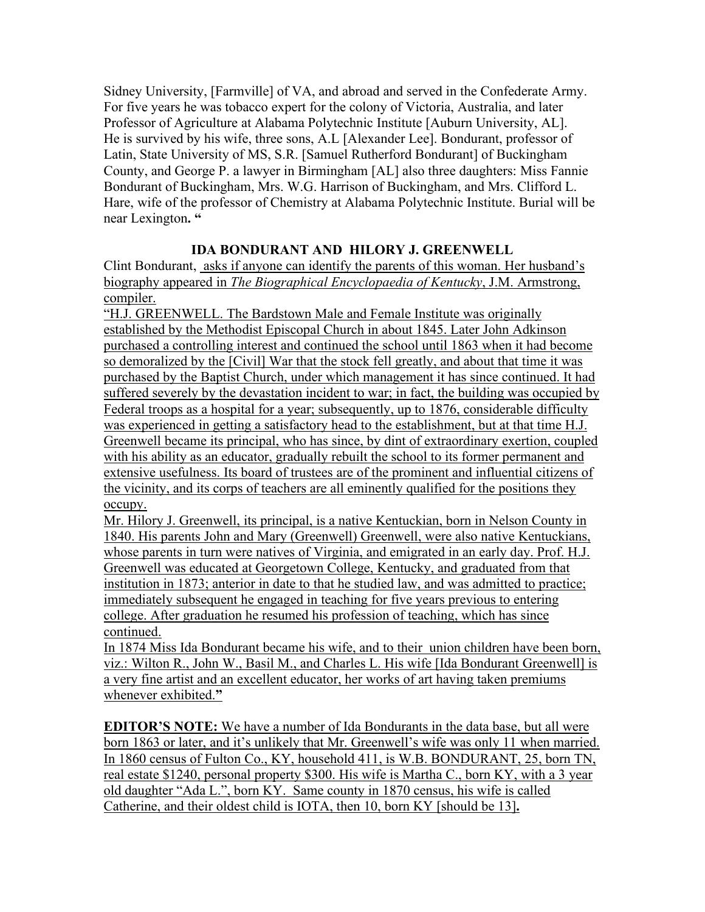Sidney University, [Farmville] of VA, and abroad and served in the Confederate Army. For five years he was tobacco expert for the colony of Victoria, Australia, and later Professor of Agriculture at Alabama Polytechnic Institute [Auburn University, AL]. He is survived by his wife, three sons, A.L [Alexander Lee]. Bondurant, professor of Latin, State University of MS, S.R. [Samuel Rutherford Bondurant] of Buckingham County, and George P. a lawyer in Birmingham [AL] also three daughters: Miss Fannie Bondurant of Buckingham, Mrs. W.G. Harrison of Buckingham, and Mrs. Clifford L. Hare, wife of the professor of Chemistry at Alabama Polytechnic Institute. Burial will be near Lexington**. "**

## **IDA BONDURANT AND HILORY J. GREENWELL**

Clint Bondurant, asks if anyone can identify the parents of this woman. Her husband's biography appeared in *The Biographical Encyclopaedia of Kentucky*, J.M. Armstrong, compiler.

"H.J. GREENWELL. The Bardstown Male and Female Institute was originally established by the Methodist Episcopal Church in about 1845. Later John Adkinson purchased a controlling interest and continued the school until 1863 when it had become so demoralized by the [Civil] War that the stock fell greatly, and about that time it was purchased by the Baptist Church, under which management it has since continued. It had suffered severely by the devastation incident to war; in fact, the building was occupied by Federal troops as a hospital for a year; subsequently, up to 1876, considerable difficulty was experienced in getting a satisfactory head to the establishment, but at that time H.J. Greenwell became its principal, who has since, by dint of extraordinary exertion, coupled with his ability as an educator, gradually rebuilt the school to its former permanent and extensive usefulness. Its board of trustees are of the prominent and influential citizens of the vicinity, and its corps of teachers are all eminently qualified for the positions they occupy.

Mr. Hilory J. Greenwell, its principal, is a native Kentuckian, born in Nelson County in 1840. His parents John and Mary (Greenwell) Greenwell, were also native Kentuckians, whose parents in turn were natives of Virginia, and emigrated in an early day. Prof. H.J. Greenwell was educated at Georgetown College, Kentucky, and graduated from that institution in 1873; anterior in date to that he studied law, and was admitted to practice; immediately subsequent he engaged in teaching for five years previous to entering college. After graduation he resumed his profession of teaching, which has since continued.

In 1874 Miss Ida Bondurant became his wife, and to their union children have been born, viz.: Wilton R., John W., Basil M., and Charles L. His wife [Ida Bondurant Greenwell] is a very fine artist and an excellent educator, her works of art having taken premiums whenever exhibited.**"**

**EDITOR'S NOTE:** We have a number of Ida Bondurants in the data base, but all were born 1863 or later, and it's unlikely that Mr. Greenwell's wife was only 11 when married. In 1860 census of Fulton Co., KY, household 411, is W.B. BONDURANT, 25, born TN, real estate \$1240, personal property \$300. His wife is Martha C., born KY, with a 3 year old daughter "Ada L.", born KY. Same county in 1870 census, his wife is called Catherine, and their oldest child is IOTA, then 10, born KY [should be 13]**.**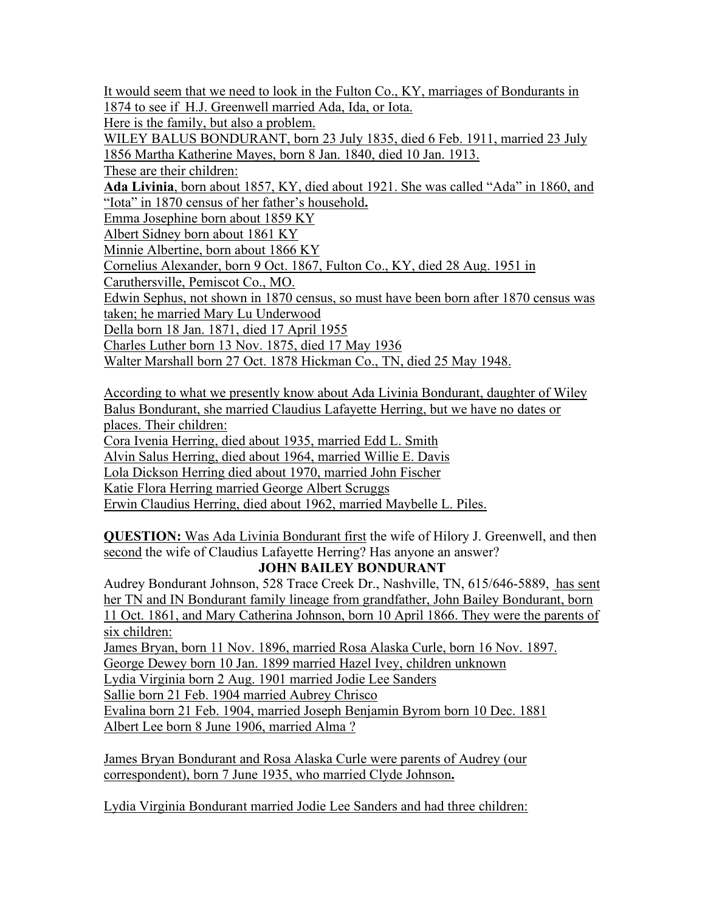It would seem that we need to look in the Fulton Co., KY, marriages of Bondurants in 1874 to see if H.J. Greenwell married Ada, Ida, or Iota.

Here is the family, but also a problem.

WILEY BALUS BONDURANT, born 23 July 1835, died 6 Feb. 1911, married 23 July 1856 Martha Katherine Mayes, born 8 Jan. 1840, died 10 Jan. 1913.

These are their children:

**Ada Livinia**, born about 1857, KY, died about 1921. She was called "Ada" in 1860, and "Iota" in 1870 census of her father's household**.**

Emma Josephine born about 1859 KY

Albert Sidney born about 1861 KY

Minnie Albertine, born about 1866 KY

Cornelius Alexander, born 9 Oct. 1867, Fulton Co., KY, died 28 Aug. 1951 in

Caruthersville, Pemiscot Co., MO.

Edwin Sephus, not shown in 1870 census, so must have been born after 1870 census was taken; he married Mary Lu Underwood

Della born 18 Jan. 1871, died 17 April 1955

Charles Luther born 13 Nov. 1875, died 17 May 1936

Walter Marshall born 27 Oct. 1878 Hickman Co., TN, died 25 May 1948.

According to what we presently know about Ada Livinia Bondurant, daughter of Wiley Balus Bondurant, she married Claudius Lafayette Herring, but we have no dates or places. Their children:

Cora Ivenia Herring, died about 1935, married Edd L. Smith

Alvin Salus Herring, died about 1964, married Willie E. Davis

Lola Dickson Herring died about 1970, married John Fischer

Katie Flora Herring married George Albert Scruggs

Erwin Claudius Herring, died about 1962, married Maybelle L. Piles.

**QUESTION:** Was Ada Livinia Bondurant first the wife of Hilory J. Greenwell, and then second the wife of Claudius Lafayette Herring? Has anyone an answer?

### **JOHN BAILEY BONDURANT**

Audrey Bondurant Johnson, 528 Trace Creek Dr., Nashville, TN, 615/646-5889, has sent her TN and IN Bondurant family lineage from grandfather, John Bailey Bondurant, born 11 Oct. 1861, and Mary Catherina Johnson, born 10 April 1866. They were the parents of six children:

James Bryan, born 11 Nov. 1896, married Rosa Alaska Curle, born 16 Nov. 1897.

George Dewey born 10 Jan. 1899 married Hazel Ivey, children unknown

Lydia Virginia born 2 Aug. 1901 married Jodie Lee Sanders

Sallie born 21 Feb. 1904 married Aubrey Chrisco

Evalina born 21 Feb. 1904, married Joseph Benjamin Byrom born 10 Dec. 1881

Albert Lee born 8 June 1906, married Alma ?

James Bryan Bondurant and Rosa Alaska Curle were parents of Audrey (our correspondent), born 7 June 1935, who married Clyde Johnson**.**

Lydia Virginia Bondurant married Jodie Lee Sanders and had three children: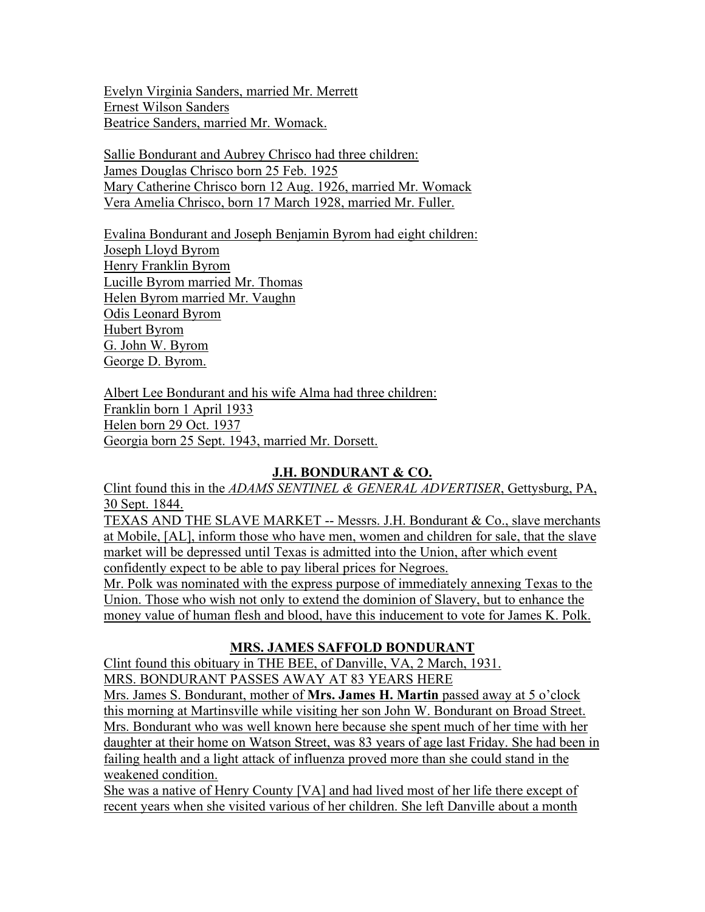Evelyn Virginia Sanders, married Mr. Merrett Ernest Wilson Sanders Beatrice Sanders, married Mr. Womack.

Sallie Bondurant and Aubrey Chrisco had three children: James Douglas Chrisco born 25 Feb. 1925 Mary Catherine Chrisco born 12 Aug. 1926, married Mr. Womack Vera Amelia Chrisco, born 17 March 1928, married Mr. Fuller.

Evalina Bondurant and Joseph Benjamin Byrom had eight children: Joseph Lloyd Byrom Henry Franklin Byrom Lucille Byrom married Mr. Thomas Helen Byrom married Mr. Vaughn Odis Leonard Byrom Hubert Byrom G. John W. Byrom George D. Byrom.

Albert Lee Bondurant and his wife Alma had three children: Franklin born 1 April 1933 Helen born 29 Oct. 1937 Georgia born 25 Sept. 1943, married Mr. Dorsett.

### **J.H. BONDURANT & CO.**

Clint found this in the *ADAMS SENTINEL & GENERAL ADVERTISER*, Gettysburg, PA, 30 Sept. 1844.

TEXAS AND THE SLAVE MARKET -- Messrs. J.H. Bondurant & Co., slave merchants at Mobile, [AL], inform those who have men, women and children for sale, that the slave market will be depressed until Texas is admitted into the Union, after which event confidently expect to be able to pay liberal prices for Negroes. Mr. Polk was nominated with the express purpose of immediately annexing Texas to the Union. Those who wish not only to extend the dominion of Slavery, but to enhance the money value of human flesh and blood, have this inducement to vote for James K. Polk.

### **MRS. JAMES SAFFOLD BONDURANT**

Clint found this obituary in THE BEE, of Danville, VA, 2 March, 1931. MRS. BONDURANT PASSES AWAY AT 83 YEARS HERE

Mrs. James S. Bondurant, mother of **Mrs. James H. Martin** passed away at 5 o'clock this morning at Martinsville while visiting her son John W. Bondurant on Broad Street. Mrs. Bondurant who was well known here because she spent much of her time with her daughter at their home on Watson Street, was 83 years of age last Friday. She had been in failing health and a light attack of influenza proved more than she could stand in the weakened condition.

She was a native of Henry County [VA] and had lived most of her life there except of recent years when she visited various of her children. She left Danville about a month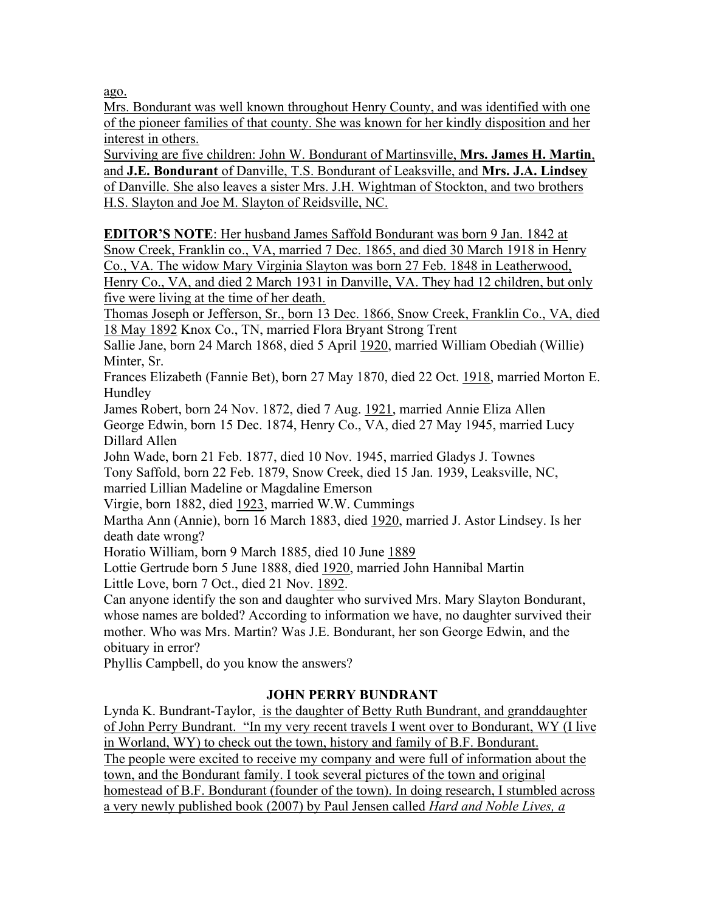ago.

Mrs. Bondurant was well known throughout Henry County, and was identified with one of the pioneer families of that county. She was known for her kindly disposition and her interest in others.

Surviving are five children: John W. Bondurant of Martinsville, **Mrs. James H. Martin**, and **J.E. Bondurant** of Danville, T.S. Bondurant of Leaksville, and **Mrs. J.A. Lindsey** of Danville. She also leaves a sister Mrs. J.H. Wightman of Stockton, and two brothers H.S. Slayton and Joe M. Slayton of Reidsville, NC.

**EDITOR'S NOTE**: Her husband James Saffold Bondurant was born 9 Jan. 1842 at Snow Creek, Franklin co., VA, married 7 Dec. 1865, and died 30 March 1918 in Henry Co., VA. The widow Mary Virginia Slayton was born 27 Feb. 1848 in Leatherwood, Henry Co., VA, and died 2 March 1931 in Danville, VA. They had 12 children, but only five were living at the time of her death.

Thomas Joseph or Jefferson, Sr., born 13 Dec. 1866, Snow Creek, Franklin Co., VA, died 18 May 1892 Knox Co., TN, married Flora Bryant Strong Trent

Sallie Jane, born 24 March 1868, died 5 April 1920, married William Obediah (Willie) Minter, Sr.

Frances Elizabeth (Fannie Bet), born 27 May 1870, died 22 Oct. 1918, married Morton E. Hundley

James Robert, born 24 Nov. 1872, died 7 Aug. 1921, married Annie Eliza Allen George Edwin, born 15 Dec. 1874, Henry Co., VA, died 27 May 1945, married Lucy Dillard Allen

John Wade, born 21 Feb. 1877, died 10 Nov. 1945, married Gladys J. Townes Tony Saffold, born 22 Feb. 1879, Snow Creek, died 15 Jan. 1939, Leaksville, NC, married Lillian Madeline or Magdaline Emerson

Virgie, born 1882, died 1923, married W.W. Cummings

Martha Ann (Annie), born 16 March 1883, died 1920, married J. Astor Lindsey. Is her death date wrong?

Horatio William, born 9 March 1885, died 10 June 1889

Lottie Gertrude born 5 June 1888, died 1920, married John Hannibal Martin Little Love, born 7 Oct., died 21 Nov. 1892.

Can anyone identify the son and daughter who survived Mrs. Mary Slayton Bondurant, whose names are bolded? According to information we have, no daughter survived their mother. Who was Mrs. Martin? Was J.E. Bondurant, her son George Edwin, and the obituary in error?

Phyllis Campbell, do you know the answers?

### **JOHN PERRY BUNDRANT**

Lynda K. Bundrant-Taylor, is the daughter of Betty Ruth Bundrant, and granddaughter of John Perry Bundrant. "In my very recent travels I went over to Bondurant, WY (I live in Worland, WY) to check out the town, history and family of B.F. Bondurant. The people were excited to receive my company and were full of information about the town, and the Bondurant family. I took several pictures of the town and original homestead of B.F. Bondurant (founder of the town). In doing research, I stumbled across a very newly published book (2007) by Paul Jensen called *Hard and Noble Lives, a*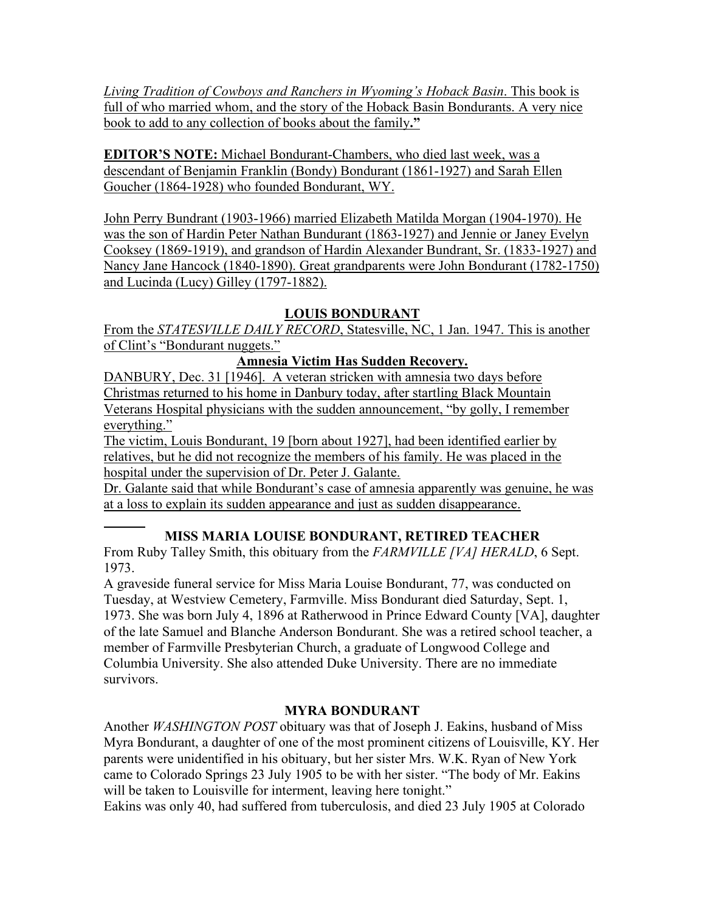*Living Tradition of Cowboys and Ranchers in Wyoming's Hoback Basin*. This book is full of who married whom, and the story of the Hoback Basin Bondurants. A very nice book to add to any collection of books about the family**."**

**EDITOR'S NOTE:** Michael Bondurant-Chambers, who died last week, was a descendant of Benjamin Franklin (Bondy) Bondurant (1861-1927) and Sarah Ellen Goucher (1864-1928) who founded Bondurant, WY.

John Perry Bundrant (1903-1966) married Elizabeth Matilda Morgan (1904-1970). He was the son of Hardin Peter Nathan Bundurant (1863-1927) and Jennie or Janey Evelyn Cooksey (1869-1919), and grandson of Hardin Alexander Bundrant, Sr. (1833-1927) and Nancy Jane Hancock (1840-1890). Great grandparents were John Bondurant (1782-1750) and Lucinda (Lucy) Gilley (1797-1882).

## **LOUIS BONDURANT**

From the *STATESVILLE DAILY RECORD*, Statesville, NC, 1 Jan. 1947. This is another of Clint's "Bondurant nuggets."

## **Amnesia Victim Has Sudden Recovery.**

DANBURY, Dec. 31 [1946]. A veteran stricken with amnesia two days before Christmas returned to his home in Danbury today, after startling Black Mountain Veterans Hospital physicians with the sudden announcement, "by golly, I remember everything."

The victim, Louis Bondurant, 19 [born about 1927], had been identified earlier by relatives, but he did not recognize the members of his family. He was placed in the hospital under the supervision of Dr. Peter J. Galante.

Dr. Galante said that while Bondurant's case of amnesia apparently was genuine, he was at a loss to explain its sudden appearance and just as sudden disappearance.

## **MISS MARIA LOUISE BONDURANT, RETIRED TEACHER**

From Ruby Talley Smith, this obituary from the *FARMVILLE [VA] HERALD*, 6 Sept. 1973.

A graveside funeral service for Miss Maria Louise Bondurant, 77, was conducted on Tuesday, at Westview Cemetery, Farmville. Miss Bondurant died Saturday, Sept. 1, 1973. She was born July 4, 1896 at Ratherwood in Prince Edward County [VA], daughter of the late Samuel and Blanche Anderson Bondurant. She was a retired school teacher, a member of Farmville Presbyterian Church, a graduate of Longwood College and Columbia University. She also attended Duke University. There are no immediate survivors.

## **MYRA BONDURANT**

Another *WASHINGTON POST* obituary was that of Joseph J. Eakins, husband of Miss Myra Bondurant, a daughter of one of the most prominent citizens of Louisville, KY. Her parents were unidentified in his obituary, but her sister Mrs. W.K. Ryan of New York came to Colorado Springs 23 July 1905 to be with her sister. "The body of Mr. Eakins will be taken to Louisville for interment, leaving here tonight."

Eakins was only 40, had suffered from tuberculosis, and died 23 July 1905 at Colorado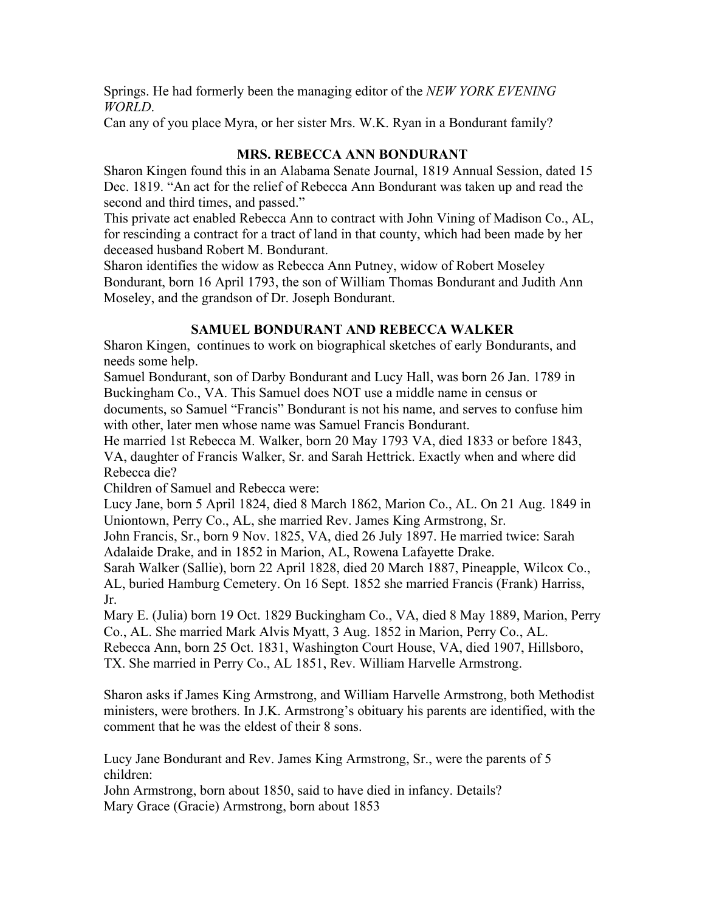Springs. He had formerly been the managing editor of the *NEW YORK EVENING WORLD*.

Can any of you place Myra, or her sister Mrs. W.K. Ryan in a Bondurant family?

### **MRS. REBECCA ANN BONDURANT**

Sharon Kingen found this in an Alabama Senate Journal, 1819 Annual Session, dated 15 Dec. 1819. "An act for the relief of Rebecca Ann Bondurant was taken up and read the second and third times, and passed."

This private act enabled Rebecca Ann to contract with John Vining of Madison Co., AL, for rescinding a contract for a tract of land in that county, which had been made by her deceased husband Robert M. Bondurant.

Sharon identifies the widow as Rebecca Ann Putney, widow of Robert Moseley Bondurant, born 16 April 1793, the son of William Thomas Bondurant and Judith Ann Moseley, and the grandson of Dr. Joseph Bondurant.

## **SAMUEL BONDURANT AND REBECCA WALKER**

Sharon Kingen, continues to work on biographical sketches of early Bondurants, and needs some help.

Samuel Bondurant, son of Darby Bondurant and Lucy Hall, was born 26 Jan. 1789 in Buckingham Co., VA. This Samuel does NOT use a middle name in census or

documents, so Samuel "Francis" Bondurant is not his name, and serves to confuse him with other, later men whose name was Samuel Francis Bondurant.

He married 1st Rebecca M. Walker, born 20 May 1793 VA, died 1833 or before 1843, VA, daughter of Francis Walker, Sr. and Sarah Hettrick. Exactly when and where did Rebecca die?

Children of Samuel and Rebecca were:

Lucy Jane, born 5 April 1824, died 8 March 1862, Marion Co., AL. On 21 Aug. 1849 in Uniontown, Perry Co., AL, she married Rev. James King Armstrong, Sr.

John Francis, Sr., born 9 Nov. 1825, VA, died 26 July 1897. He married twice: Sarah Adalaide Drake, and in 1852 in Marion, AL, Rowena Lafayette Drake.

Sarah Walker (Sallie), born 22 April 1828, died 20 March 1887, Pineapple, Wilcox Co., AL, buried Hamburg Cemetery. On 16 Sept. 1852 she married Francis (Frank) Harriss, Jr.

Mary E. (Julia) born 19 Oct. 1829 Buckingham Co., VA, died 8 May 1889, Marion, Perry Co., AL. She married Mark Alvis Myatt, 3 Aug. 1852 in Marion, Perry Co., AL. Rebecca Ann, born 25 Oct. 1831, Washington Court House, VA, died 1907, Hillsboro, TX. She married in Perry Co., AL 1851, Rev. William Harvelle Armstrong.

Sharon asks if James King Armstrong, and William Harvelle Armstrong, both Methodist ministers, were brothers. In J.K. Armstrong's obituary his parents are identified, with the comment that he was the eldest of their 8 sons.

Lucy Jane Bondurant and Rev. James King Armstrong, Sr., were the parents of 5 children:

John Armstrong, born about 1850, said to have died in infancy. Details? Mary Grace (Gracie) Armstrong, born about 1853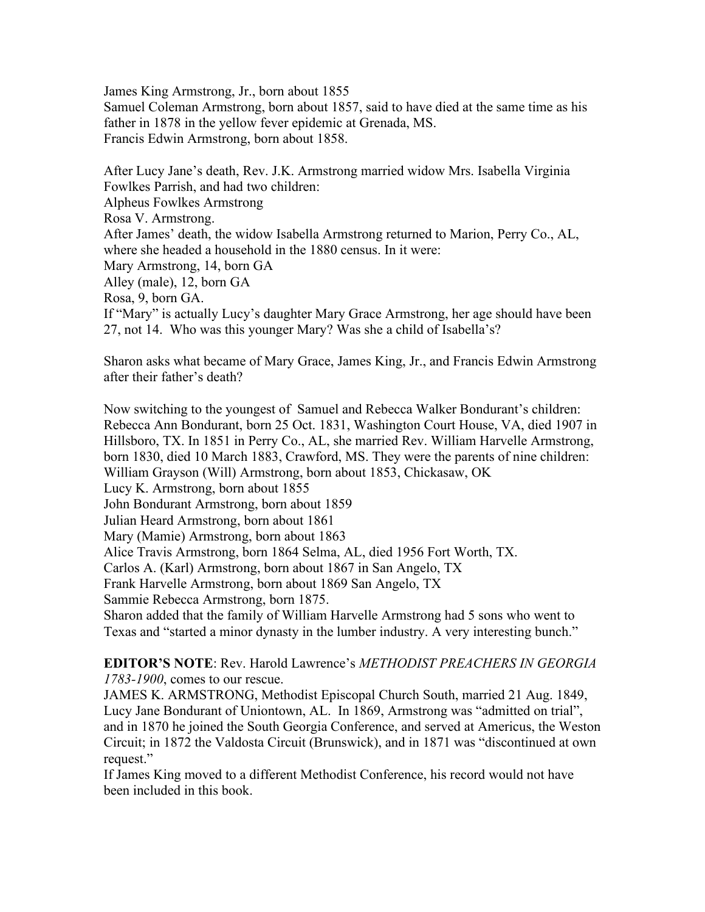James King Armstrong, Jr., born about 1855 Samuel Coleman Armstrong, born about 1857, said to have died at the same time as his father in 1878 in the yellow fever epidemic at Grenada, MS. Francis Edwin Armstrong, born about 1858.

After Lucy Jane's death, Rev. J.K. Armstrong married widow Mrs. Isabella Virginia Fowlkes Parrish, and had two children: Alpheus Fowlkes Armstrong Rosa V. Armstrong. After James' death, the widow Isabella Armstrong returned to Marion, Perry Co., AL, where she headed a household in the 1880 census. In it were: Mary Armstrong, 14, born GA Alley (male), 12, born GA Rosa, 9, born GA. If "Mary" is actually Lucy's daughter Mary Grace Armstrong, her age should have been 27, not 14. Who was this younger Mary? Was she a child of Isabella's?

Sharon asks what became of Mary Grace, James King, Jr., and Francis Edwin Armstrong after their father's death?

Now switching to the youngest of Samuel and Rebecca Walker Bondurant's children: Rebecca Ann Bondurant, born 25 Oct. 1831, Washington Court House, VA, died 1907 in Hillsboro, TX. In 1851 in Perry Co., AL, she married Rev. William Harvelle Armstrong, born 1830, died 10 March 1883, Crawford, MS. They were the parents of nine children: William Grayson (Will) Armstrong, born about 1853, Chickasaw, OK Lucy K. Armstrong, born about 1855 John Bondurant Armstrong, born about 1859 Julian Heard Armstrong, born about 1861 Mary (Mamie) Armstrong, born about 1863 Alice Travis Armstrong, born 1864 Selma, AL, died 1956 Fort Worth, TX. Carlos A. (Karl) Armstrong, born about 1867 in San Angelo, TX Frank Harvelle Armstrong, born about 1869 San Angelo, TX Sammie Rebecca Armstrong, born 1875. Sharon added that the family of William Harvelle Armstrong had 5 sons who went to Texas and "started a minor dynasty in the lumber industry. A very interesting bunch."

**EDITOR'S NOTE**: Rev. Harold Lawrence's *METHODIST PREACHERS IN GEORGIA 1783-1900*, comes to our rescue.

JAMES K. ARMSTRONG, Methodist Episcopal Church South, married 21 Aug. 1849, Lucy Jane Bondurant of Uniontown, AL. In 1869, Armstrong was "admitted on trial", and in 1870 he joined the South Georgia Conference, and served at Americus, the Weston Circuit; in 1872 the Valdosta Circuit (Brunswick), and in 1871 was "discontinued at own request."

If James King moved to a different Methodist Conference, his record would not have been included in this book.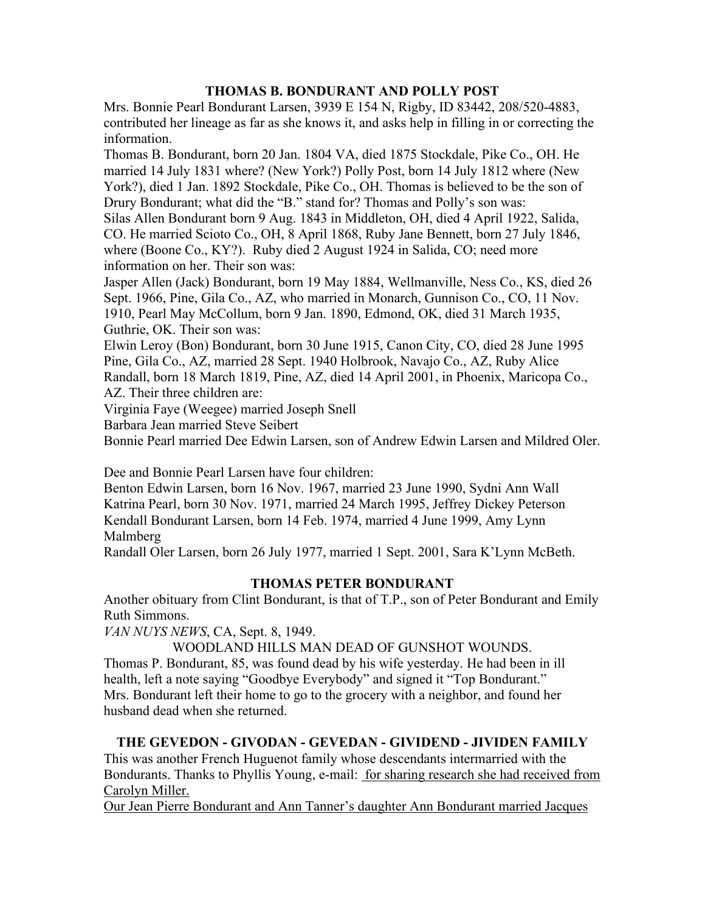### **THOMAS B. BONDURANT AND POLLY POST**

Mrs. Bonnie Pearl Bondurant Larsen, 3939 E 154 N, Rigby, ID 83442, 208/520-4883, contributed her lineage as far as she knows it, and asks help in filling in or correcting the information.

Thomas B. Bondurant, born 20 Jan. 1804 VA, died 1875 Stockdale, Pike Co., OH. He married 14 July 1831 where? (New York?) Polly Post, born 14 July 1812 where (New York?), died 1 Jan. 1892 Stockdale, Pike Co., OH. Thomas is believed to be the son of Drury Bondurant; what did the "B." stand for? Thomas and Polly's son was:

Silas Allen Bondurant born 9 Aug. 1843 in Middleton, OH, died 4 April 1922, Salida, CO. He married Scioto Co., OH, 8 April 1868, Ruby Jane Bennett, born 27 July 1846, where (Boone Co., KY?). Ruby died 2 August 1924 in Salida, CO; need more information on her. Their son was:

Jasper Allen (Jack) Bondurant, born 19 May 1884, Wellmanville, Ness Co., KS, died 26 Sept. 1966, Pine, Gila Co., AZ, who married in Monarch, Gunnison Co., CO, 11 Nov. 1910, Pearl May McCollum, born 9 Jan. 1890, Edmond, OK, died 31 March 1935, Guthrie, OK. Their son was:

Elwin Leroy (Bon) Bondurant, born 30 June 1915, Canon City, CO, died 28 June 1995 Pine, Gila Co., AZ, married 28 Sept. 1940 Holbrook, Navajo Co., AZ, Ruby Alice Randall, born 18 March 1819, Pine, AZ, died 14 April 2001, in Phoenix, Maricopa Co., AZ. Their three children are:

Virginia Faye (Weegee) married Joseph Snell

Barbara Jean married Steve Seibert

Bonnie Pearl married Dee Edwin Larsen, son of Andrew Edwin Larsen and Mildred Oler.

Dee and Bonnie Pearl Larsen have four children:

Benton Edwin Larsen, born 16 Nov. 1967, married 23 June 1990, Sydni Ann Wall Katrina Pearl, born 30 Nov. 1971, married 24 March 1995, Jeffrey Dickey Peterson Kendall Bondurant Larsen, born 14 Feb. 1974, married 4 June 1999, Amy Lynn Malmberg

Randall Oler Larsen, born 26 July 1977, married 1 Sept. 2001, Sara K'Lynn McBeth.

### **THOMAS PETER BONDURANT**

Another obituary from Clint Bondurant, is that of T.P., son of Peter Bondurant and Emily Ruth Simmons.

*VAN NUYS NEWS*, CA, Sept. 8, 1949.

WOODLAND HILLS MAN DEAD OF GUNSHOT WOUNDS.

Thomas P. Bondurant, 85, was found dead by his wife yesterday. He had been in ill health, left a note saying "Goodbye Everybody" and signed it "Top Bondurant." Mrs. Bondurant left their home to go to the grocery with a neighbor, and found her husband dead when she returned.

## **THE GEVEDON - GIVODAN - GEVEDAN - GIVIDEND - JIVIDEN FAMILY**

This was another French Huguenot family whose descendants intermarried with the Bondurants. Thanks to Phyllis Young, e-mail: for sharing research she had received from Carolyn Miller.

Our Jean Pierre Bondurant and Ann Tanner's daughter Ann Bondurant married Jacques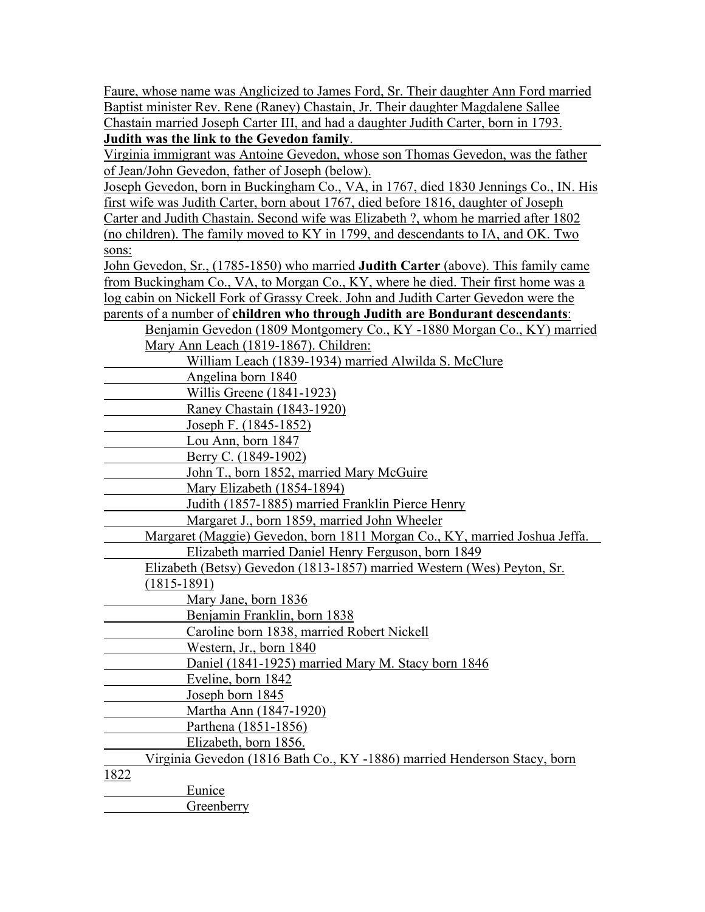Faure, whose name was Anglicized to James Ford, Sr. Their daughter Ann Ford married Baptist minister Rev. Rene (Raney) Chastain, Jr. Their daughter Magdalene Sallee Chastain married Joseph Carter III, and had a daughter Judith Carter, born in 1793. **Judith was the link to the Gevedon family**.

Virginia immigrant was Antoine Gevedon, whose son Thomas Gevedon, was the father of Jean/John Gevedon, father of Joseph (below).

Joseph Gevedon, born in Buckingham Co., VA, in 1767, died 1830 Jennings Co., IN. His first wife was Judith Carter, born about 1767, died before 1816, daughter of Joseph Carter and Judith Chastain. Second wife was Elizabeth ?, whom he married after 1802 (no children). The family moved to KY in 1799, and descendants to IA, and OK. Two sons:

John Gevedon, Sr., (1785-1850) who married **Judith Carter** (above). This family came from Buckingham Co., VA, to Morgan Co., KY, where he died. Their first home was a log cabin on Nickell Fork of Grassy Creek. John and Judith Carter Gevedon were the parents of a number of **children who through Judith are Bondurant descendants**:

| Benjamin Gevedon (1809 Montgomery Co., KY -1880 Morgan Co., KY) married    |
|----------------------------------------------------------------------------|
| Mary Ann Leach (1819-1867). Children:                                      |
| William Leach (1839-1934) married Alwilda S. McClure                       |
| Angelina born 1840                                                         |
| Willis Greene (1841-1923)                                                  |
| Raney Chastain (1843-1920)                                                 |
| Joseph F. (1845-1852)                                                      |
| Lou Ann, born 1847                                                         |
| Berry C. (1849-1902)                                                       |
| John T., born 1852, married Mary McGuire                                   |
| Mary Elizabeth (1854-1894)                                                 |
| Judith (1857-1885) married Franklin Pierce Henry                           |
| Margaret J., born 1859, married John Wheeler                               |
| Margaret (Maggie) Gevedon, born 1811 Morgan Co., KY, married Joshua Jeffa. |
| Elizabeth married Daniel Henry Ferguson, born 1849                         |
| Elizabeth (Betsy) Gevedon (1813-1857) married Western (Wes) Peyton, Sr.    |
| $(1815-1891)$                                                              |
| Mary Jane, born 1836                                                       |
| Benjamin Franklin, born 1838                                               |
| Caroline born 1838, married Robert Nickell                                 |
| Western, Jr., born 1840                                                    |
| Daniel (1841-1925) married Mary M. Stacy born 1846                         |
| Eveline, born 1842                                                         |
| Joseph born 1845                                                           |
| Martha Ann (1847-1920)                                                     |
| Parthena (1851-1856)                                                       |
| Elizabeth, born 1856.                                                      |
| Virginia Gevedon (1816 Bath Co., KY -1886) married Henderson Stacy, born   |
| 1822                                                                       |
| Eunice                                                                     |
| Greenberry                                                                 |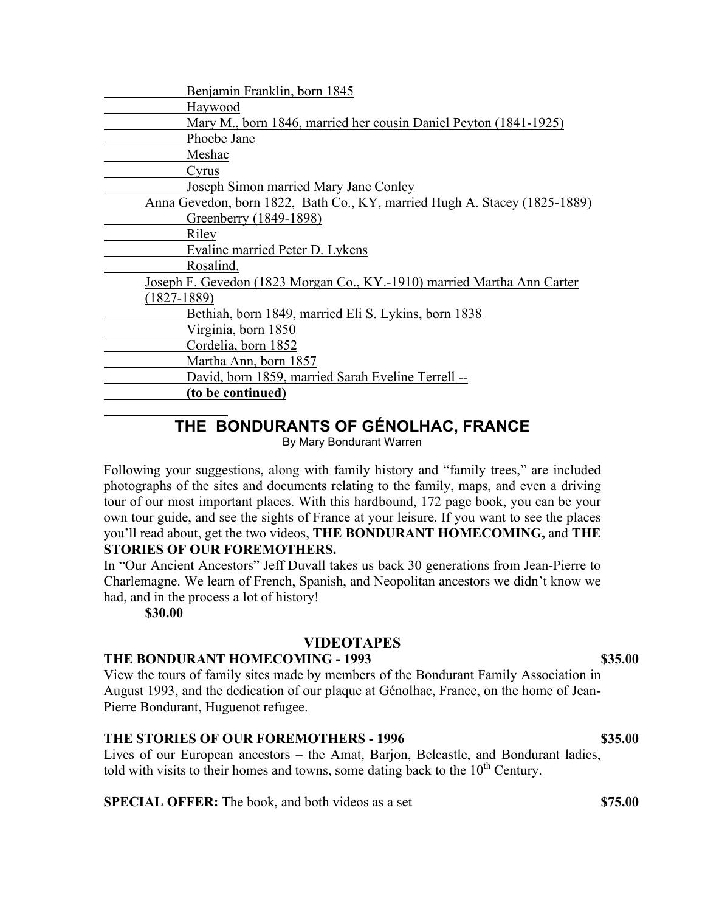# **THE BONDURANTS OF GÉNOLHAC, FRANCE**

By Mary Bondurant Warren

Following your suggestions, along with family history and "family trees," are included photographs of the sites and documents relating to the family, maps, and even a driving tour of our most important places. With this hardbound, 172 page book, you can be your own tour guide, and see the sights of France at your leisure. If you want to see the places you'll read about, get the two videos, **THE BONDURANT HOMECOMING,** and **THE STORIES OF OUR FOREMOTHERS.**

In "Our Ancient Ancestors" Jeff Duvall takes us back 30 generations from Jean-Pierre to Charlemagne. We learn of French, Spanish, and Neopolitan ancestors we didn't know we had, and in the process a lot of history!

**\$30.00**

### **VIDEOTAPES**

#### **THE BONDURANT HOMECOMING - 1993 \$35.00**

View the tours of family sites made by members of the Bondurant Family Association in August 1993, and the dedication of our plaque at Génolhac, France, on the home of Jean-Pierre Bondurant, Huguenot refugee.

#### **THE STORIES OF OUR FOREMOTHERS - 1996 \$35.00**

Lives of our European ancestors – the Amat, Barjon, Belcastle, and Bondurant ladies, told with visits to their homes and towns, some dating back to the  $10<sup>th</sup>$  Century.

**SPECIAL OFFER:** The book, and both videos as a set **\$75.00**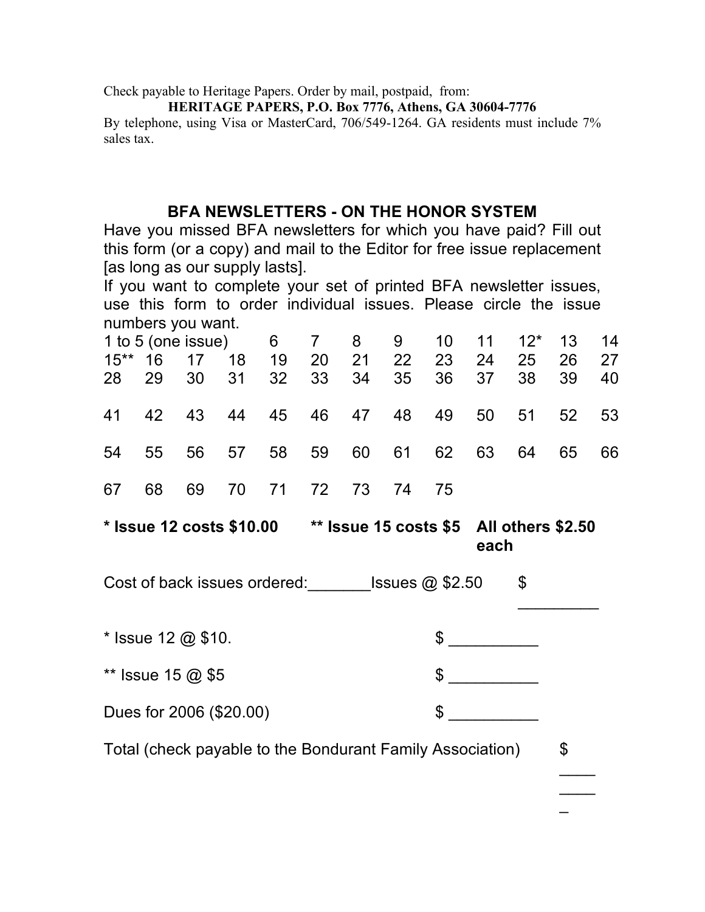Check payable to Heritage Papers. Order by mail, postpaid, from:

#### **HERITAGE PAPERS, P.O. Box 7776, Athens, GA 30604-7776**

By telephone, using Visa or MasterCard, 706/549-1264. GA residents must include 7% sales tax.

## **BFA NEWSLETTERS - ON THE HONOR SYSTEM**

Have you missed BFA newsletters for which you have paid? Fill out this form (or a copy) and mail to the Editor for free issue replacement [as long as our supply lasts].

If you want to complete your set of printed BFA newsletter issues, use this form to order individual issues. Please circle the issue numbers you want.

| 1 to 5 (one issue) 6 7 8 9 10 11 12* 13 14 |       |    |    |                    |    |                                     |    |    |                                     |          |          |
|--------------------------------------------|-------|----|----|--------------------|----|-------------------------------------|----|----|-------------------------------------|----------|----------|
| $15***$                                    |       |    |    | 16  17  18  19  20 | 21 | 22<br>28 29 30 31 32 33 34 35 36 37 | 23 | 24 | 25<br>38                            | 26<br>39 | 27<br>40 |
|                                            |       |    |    |                    |    |                                     |    |    | 41 42 43 44 45 46 47 48 49 50 51 52 |          | 53       |
|                                            | 54 55 |    |    |                    |    | 56 57 58 59 60 61 62 63 64          |    |    |                                     | 65       | 66       |
| 67                                         | 68    | 69 | 70 |                    |    | 71 72 73 74                         | 75 |    |                                     |          |          |

**\* Issue 12 costs \$10.00 \*\* Issue 15 costs \$5 All others \$2.50 each**

 $\overline{\phantom{a}}$ 

 $\overline{\phantom{a}}$  $\overline{\phantom{a}}$  $\overline{\phantom{a}}$ 

Cost of back issues ordered: \_\_\_\_\_\_\_\_Issues @ \$2.50 \$

 $*$  Issue 12 @ \$10.  $*$ \*\* Issue 15  $@$  \$5  $@$  \$ Dues for 2006 (\$20.00) \$ \_\_\_\_\_\_\_\_\_\_

Total (check payable to the Bondurant Family Association)  $\frac{1}{2}$